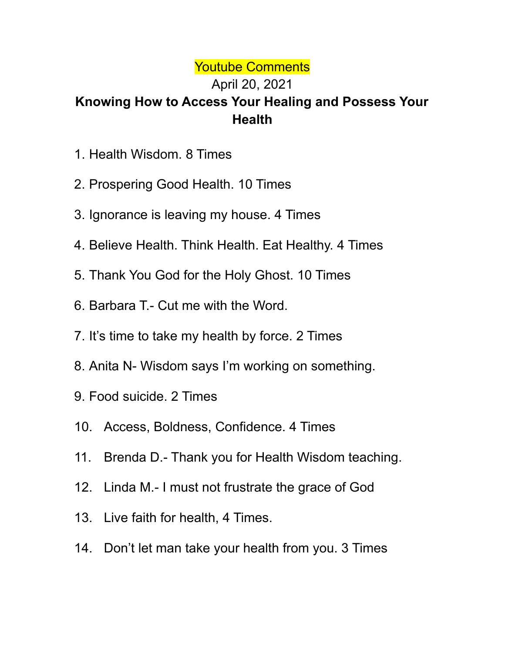## Youtube Comments

## April 20, 2021 **Knowing How to Access Your Healing and Possess Your Health**

- 1. Health Wisdom. 8 Times
- 2. Prospering Good Health. 10 Times
- 3. Ignorance is leaving my house. 4 Times
- 4. Believe Health. Think Health. Eat Healthy. 4 Times
- 5. Thank You God for the Holy Ghost. 10 Times
- 6. Barbara T.- Cut me with the Word.
- 7. It's time to take my health by force. 2 Times
- 8. Anita N- Wisdom says I'm working on something.
- 9. Food suicide. 2 Times
- 10. Access, Boldness, Confidence. 4 Times
- 11. Brenda D.- Thank you for Health Wisdom teaching.
- 12. Linda M.- I must not frustrate the grace of God
- 13. Live faith for health, 4 Times.
- 14. Don't let man take your health from you. 3 Times